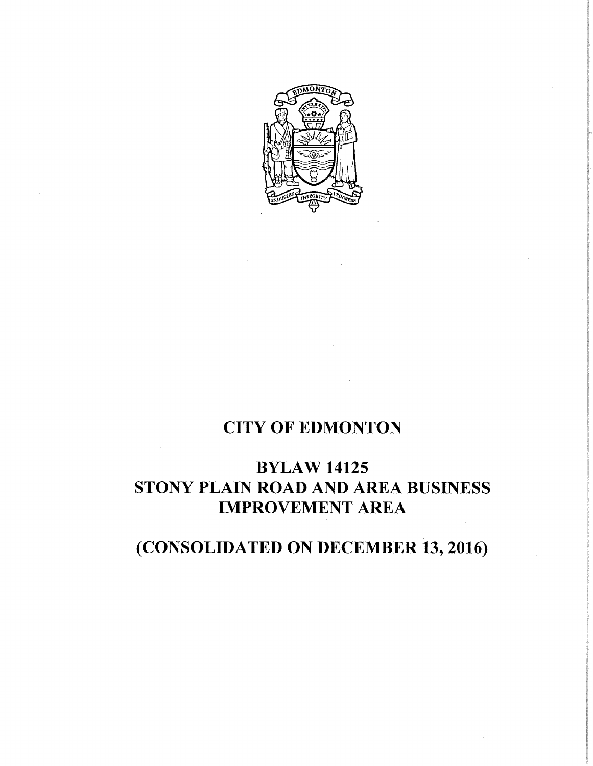

# **CITY OF EDMONTON**

# **BYLAW 14125 STONY PLAIN ROAD AND AREA BUSINESS IMPROVEMENT AREA**

# **(CONSOLIDATED ON DECEMBER 13, 2016)**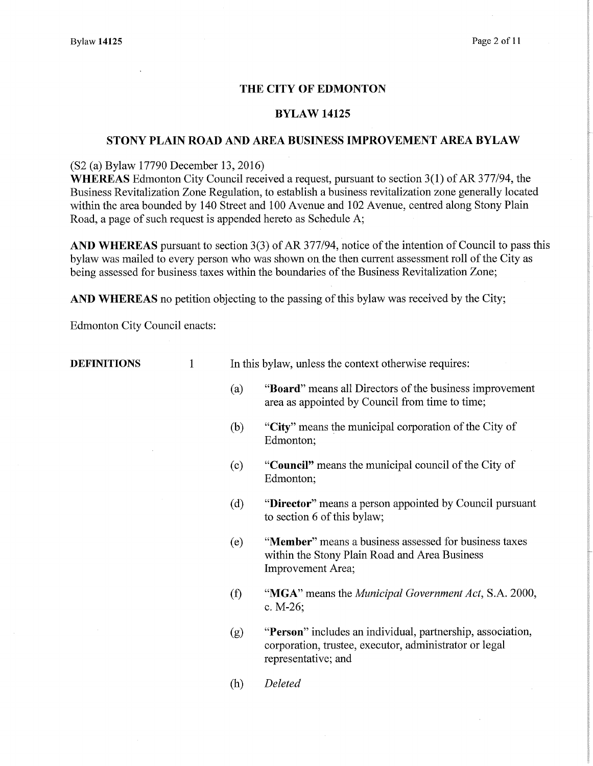# THE CITY OF EDMONTON

# BYLAW 14125

# STONY PLAIN ROAD AND AREA BUSINESS IMPROVEMENT AREA BYLAW

(S2 (a) Bylaw 17790 December 13, 2016)

WHEREAS Edmonton City Council received a request, pursuant to section 3(1) of AR 377/94, the Business Revitalization Zone Regulation, to establish a business revitalization zone generally located within the area bounded by 140 Street and 100 Avenue and 102 Avenue, centred along Stony Plain Road, a page of such request is appended hereto as Schedule A;

AND WHEREAS pursuant to section 3(3) of AR 377/94, notice of the intention of Council to pass this bylaw was mailed to every person who was shown on the then current assessment roll of the City as being assessed for business taxes within the boundaries of the Business Revitalization Zone;

AND WHEREAS no petition objecting to the passing of this bylaw was received by the City;

Edmonton City Council enacts:

**DEFINITIONS** 1 In this bylaw, unless the context otherwise requires:

- (a) "Board" means all Directors of the business improvement area as appointed by Council from time to time;
- (b) "City" means the municipal corporation of the City of Edmonton;
- (c) "Council" means the municipal council of the City of Edmonton;
- (d) "Director" means a person appointed by Council pursuant to section 6 of this bylaw;
- (e) "Member" means a business assessed for business taxes within the Stony Plain Road and Area Business Improvement Area;
- (1) "MGA" means the *Municipal Government Act,* S.A. 2000, c. M-26;
- (g) "Person" includes an individual, partnership, association, corporation, trustee, executor, administrator or legal representative; and
- *(h) Deleted*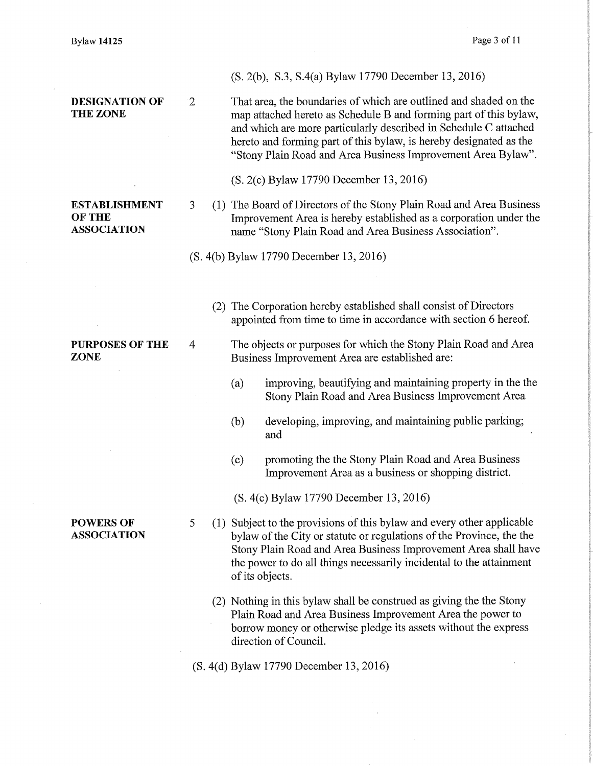POWERS OF ASSOCIATION

# (S. 2(b), S.3, S.4(a) Bylaw 17790 December 13, 2016)

**DESIGNATION OF** 2 That area, the boundaries of which are outlined and shaded on the THE ZONE map attached hereto as Schedule B and forming part of this bylaw, and which are more particularly described in Schedule C attached hereto and forming part of this bylaw, is hereby designated as the "Stony Plain Road and Area Business Improvement Area Bylaw".

(S. 2(c) Bylaw 17790 December 13, 2016)

ESTABLISHMENT 3 (1) The Board of Directors of the Stony Plain Road and Area Business OF THE<br> **Improvement Area is hereby established as a corporation under the<br>
ASSOCIATION** The mame "Stony Plain Road and Area Business Association". name "Stony Plain Road and Area Business Association".

(S. 4(b) Bylaw 17790 December 13, 2016)

(2) The Corporation hereby established shall consist of Directors appointed from time to time in accordance with section 6 hereof.

PURPOSES OF THE 4 The objects or purposes for which the Stony Plain Road and Area ZONE Business Improvement Area are established are:

- (a) improving, beautifying and maintaining property in the the Stony Plain Road and Area Business Improvement Area
- (b) developing, improving, and maintaining public parking; and
- (c) promoting the the Stony Plain Road and Area Business Improvement Area as a business or shopping district.

(S. 4(c) Bylaw 17790 December 13, 2016)

5 (1) Subject to the provisions of this bylaw and every other applicable bylaw of the City or statute or regulations of the Province, the the Stony Plain Road and Area Business Improvement Area shall have the power to do all things necessarily incidental to the attainment of its objects.

(2) Nothing in this bylaw shall be construed as giving the the Stony Plain Road and Area Business Improvement Area the power to borrow money or otherwise pledge its assets without the express direction of Council.

(S. 4(d) Bylaw 17790 December 13, 2016)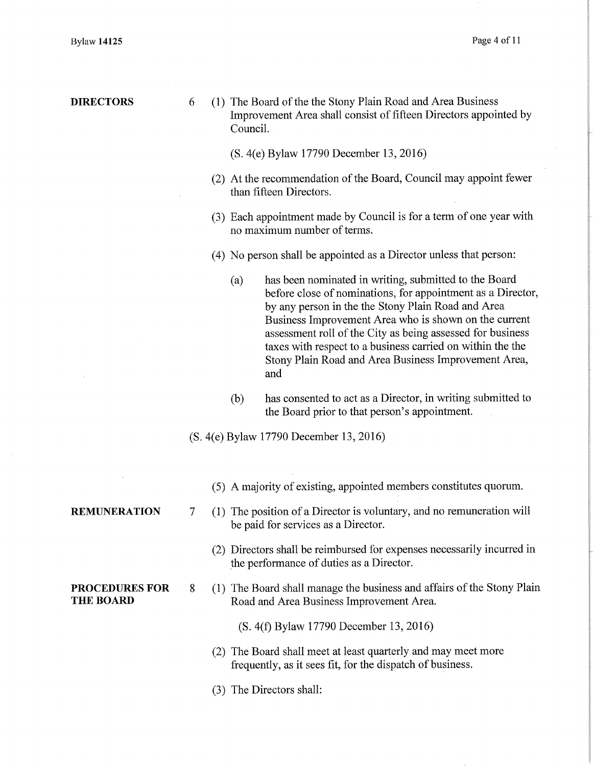| <b>DIRECTORS</b>                               | 6 |  | (1) The Board of the the Stony Plain Road and Area Business<br>Improvement Area shall consist of fifteen Directors appointed by<br>Council.                                                                                                                                                                                                                                                                                           |  |  |  |  |  |
|------------------------------------------------|---|--|---------------------------------------------------------------------------------------------------------------------------------------------------------------------------------------------------------------------------------------------------------------------------------------------------------------------------------------------------------------------------------------------------------------------------------------|--|--|--|--|--|
|                                                |   |  | (S. 4(e) Bylaw 17790 December 13, 2016)                                                                                                                                                                                                                                                                                                                                                                                               |  |  |  |  |  |
|                                                |   |  | (2) At the recommendation of the Board, Council may appoint fewer<br>than fifteen Directors.                                                                                                                                                                                                                                                                                                                                          |  |  |  |  |  |
|                                                |   |  | (3) Each appointment made by Council is for a term of one year with<br>no maximum number of terms.                                                                                                                                                                                                                                                                                                                                    |  |  |  |  |  |
|                                                |   |  | (4) No person shall be appointed as a Director unless that person:                                                                                                                                                                                                                                                                                                                                                                    |  |  |  |  |  |
|                                                |   |  | has been nominated in writing, submitted to the Board<br>(a)<br>before close of nominations, for appointment as a Director,<br>by any person in the the Stony Plain Road and Area<br>Business Improvement Area who is shown on the current<br>assessment roll of the City as being assessed for business<br>taxes with respect to a business carried on within the the<br>Stony Plain Road and Area Business Improvement Area,<br>and |  |  |  |  |  |
|                                                |   |  | has consented to act as a Director, in writing submitted to<br>(b)<br>the Board prior to that person's appointment.                                                                                                                                                                                                                                                                                                                   |  |  |  |  |  |
| (S. 4(e) Bylaw 17790 December 13, 2016)        |   |  |                                                                                                                                                                                                                                                                                                                                                                                                                                       |  |  |  |  |  |
|                                                |   |  | (5) A majority of existing, appointed members constitutes quorum.                                                                                                                                                                                                                                                                                                                                                                     |  |  |  |  |  |
| <b>REMUNERATION</b>                            | 7 |  | (1) The position of a Director is voluntary, and no remuneration will<br>be paid for services as a Director.                                                                                                                                                                                                                                                                                                                          |  |  |  |  |  |
|                                                |   |  | (2) Directors shall be reimbursed for expenses necessarily incurred in<br>the performance of duties as a Director.                                                                                                                                                                                                                                                                                                                    |  |  |  |  |  |
| <b>PROCEDURES FOR</b><br>8<br><b>THE BOARD</b> |   |  | (1) The Board shall manage the business and affairs of the Stony Plain<br>Road and Area Business Improvement Area.                                                                                                                                                                                                                                                                                                                    |  |  |  |  |  |
|                                                |   |  | (S. 4(f) Bylaw 17790 December 13, 2016)                                                                                                                                                                                                                                                                                                                                                                                               |  |  |  |  |  |
|                                                |   |  | (2) The Board shall meet at least quarterly and may meet more<br>frequently, as it sees fit, for the dispatch of business.                                                                                                                                                                                                                                                                                                            |  |  |  |  |  |
|                                                |   |  | (3) The Directors shall:                                                                                                                                                                                                                                                                                                                                                                                                              |  |  |  |  |  |
|                                                |   |  |                                                                                                                                                                                                                                                                                                                                                                                                                                       |  |  |  |  |  |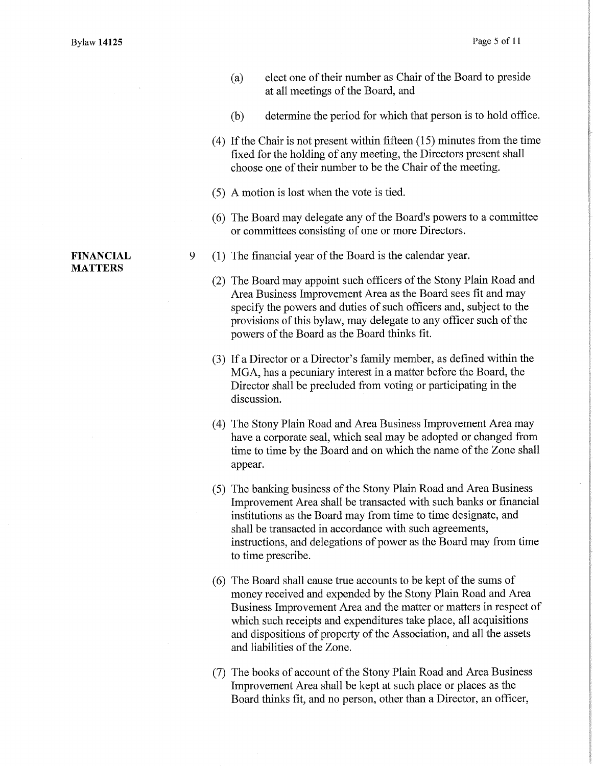- (a) elect one of their number as Chair of the Board to preside at all meetings of the Board, and
- (b) determine the period for which that person is to hold office.
- (4) If the Chair is not present within fifteen (15) minutes from the time fixed for the holding of any meeting, the Directors present shall choose one of their number to be the Chair of the meeting.
- (5) A motion is lost when the vote is tied.
- (6) The Board may delegate any of the Board's powers to a committee or committees consisting of one or more Directors.
- 9 (1) The financial year of the Board is the calendar year.
	- (2) The Board may appoint such officers of the Stony Plain Road and Area Business Improvement Area as the Board sees fit and may specify the powers and duties of such officers and, subject to the provisions of this bylaw, may delegate to any officer such of the powers of the Board as the Board thinks fit.
	- (3) If a Director or a Director's family member, as defined within the MGA, has a pecuniary interest in a matter before the Board, the Director shall be precluded from voting or participating in the discussion.
	- (4) The Stony Plain Road and Area Business Improvement Area may have a corporate seal, which seal may be adopted or changed from time to time by the Board and on which the name of the Zone shall appear.
	- (5) The banking business of the Stony Plain Road and Area Business Improvement Area shall be transacted with such banks or financial institutions as the Board may from time to time designate, and shall be transacted in accordance with such agreements, instructions, and delegations of power as the Board may from time to time prescribe.
	- (6) The Board shall cause true accounts to be kept of the sums of money received and expended by the Stony Plain Road and Area Business Improvement Area and the matter or matters in respect of which such receipts and expenditures take place, all acquisitions and dispositions of property of the Association, and all the assets and liabilities of the Zone.
	- (7) The books of account of the Stony Plain Road and Area Business Improvement Area shall be kept at such place or places as the Board thinks fit, and no person, other than a Director, an officer,

# FINANCIAL MATTERS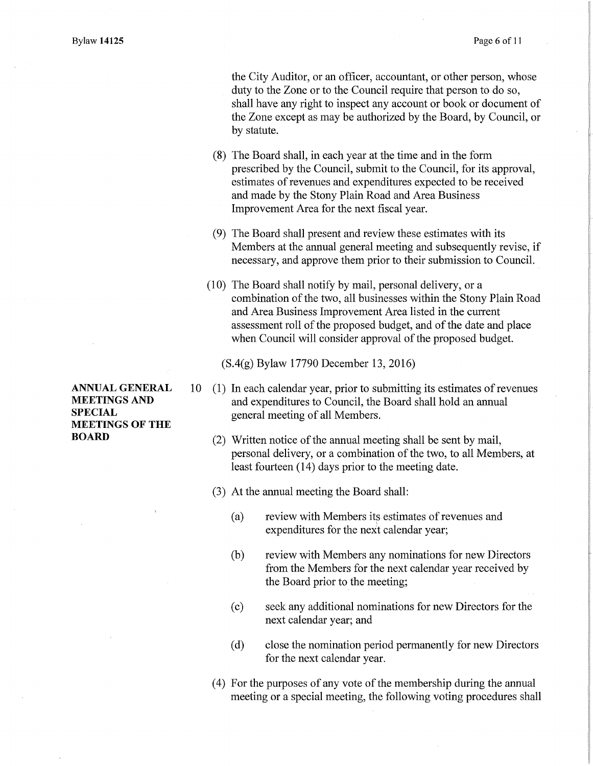the City Auditor, or an officer, accountant, or other person, whose duty to the Zone or to the Council require that person to do so, shall have any right to inspect any account or book or document of the Zone except as may be authorized by the Board, by Council, or by statute.

- (8) The Board shall, in each year at the time and in the form prescribed by the Council, submit to the Council, for its approval, estimates of revenues and expenditures expected to be received and made by the Stony Plain Road and Area Business Improvement Area for the next fiscal year.
- (9) The Board shall present and review these estimates with its Members at the annual general meeting and subsequently revise, if necessary, and approve them prior to their submission to Council.
- (10) The Board shall notify by mail, personal delivery, or a combination of the two, all businesses within the Stony Plain Road and Area Business Improvement Area listed in the current assessment roll of the proposed budget, and of the date and place when Council will consider approval of the proposed budget.

(S.4(g) Bylaw 17790 December 13, 2016)

- 10 (1) In each calendar year, prior to submitting its estimates of revenues and expenditures to Council, the Board shall hold an annual general meeting of all Members.
	- (2) Written notice of the annual meeting shall be sent by mail, personal delivery, or a combination of the two, to all Members, at least fourteen (14) days prior to the meeting date.
	- (3) At the annual meeting the Board shall:
		- (a) review with Members its estimates of revenues and expenditures for the next calendar year;
		- (b) review with Members any nominations for new Directors from the Members for the next calendar year received by the Board prior to the meeting;
		- (c) seek any additional nominations for new Directors for the next calendar year; and
		- (d) close the nomination period permanently for new Directors for the next calendar year.
	- (4) For the purposes of any vote of the membership during the annual meeting or a special meeting, the following voting procedures shall

ANNUAL GENERAL MEETINGS AND **SPECIAL** MEETINGS OF THE BOARD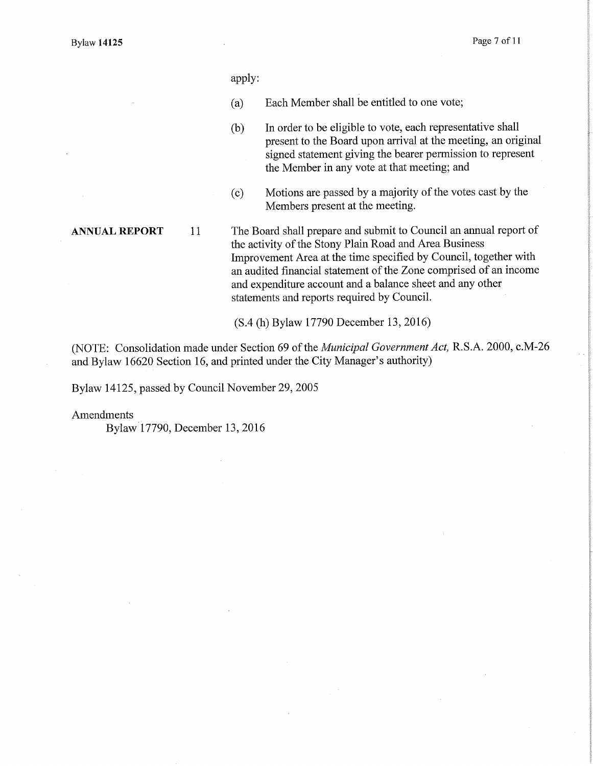apply:

- (a) Each Member shall be entitled to one vote;
- (b) In order to be eligible to vote, each representative shall present to the Board upon arrival at the meeting, an original signed statement giving the bearer permission to represent the Member in any vote at that meeting; and
- (c) Motions are passed by a majority of the votes cast by the Members present at the meeting.

ANNUAL REPORT 11 The Board shall prepare and submit to Council an annual report of the activity of the Stony Plain Road and Area Business Improvement Area at the time specified by Council, together with an audited financial statement of the Zone comprised of an income and expenditure account and a balance sheet and any other statements and reports required by Council.

(S.4 (h) Bylaw 17790 December 13, 2016)

(NOTE: Consolidation made under Section 69 of the *Municipal Government Act,* R.S.A. 2000, c.M-26 and Bylaw 16620 Section 16, and printed under the City Manager's authority)

Bylaw 14125, passed by Council November 29, 2005

Amendments

Bylaw 17790, December 13, 2016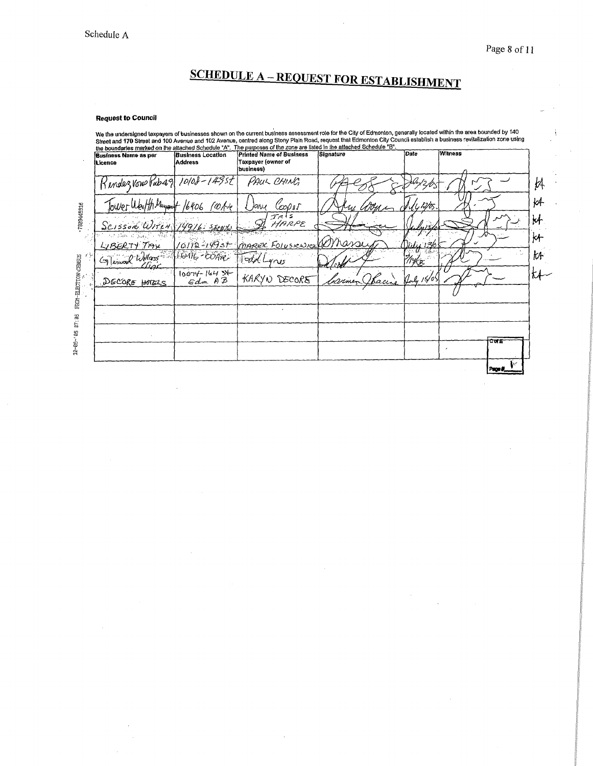# **SCHEDULE A - REQUEST FOR ESTABLISHMENT**

### **Request to Council**

We the undersigned taxpayers of businesses shown on the current business assessment role for the City of Edmonton, generally located within the area bounded by 140<br>Street and 170 Street and 100 Avenue and 102 Avenue, centr

| <b>Business Name as per</b><br>lLicence                                                                  | <b>Business Location</b><br>Address | <b>Printed Name of Business</b><br>Taxpayer (owner of<br>business) | Signature         | Date      | <b>Witness</b> |
|----------------------------------------------------------------------------------------------------------|-------------------------------------|--------------------------------------------------------------------|-------------------|-----------|----------------|
| Rendez vous Vab 49 10108-14952                                                                           |                                     | PAUL CHING                                                         |                   |           |                |
| Tower Weilth Muyant 16406 rate                                                                           |                                     | Coopst<br>Jarve                                                    |                   | 'L 12/05. |                |
| SCISSOR WITCH 14916- SECRITO                                                                             |                                     | JRIS<br>HARPE                                                      |                   |           |                |
| च क्रम हो <del>जुड़ी न गौ</del> रे<br>LIBERTY TAX                                                        |                                     | 10112-1995t mAREK FOLUSIONICOMANOU                                 |                   |           |                |
| Glenwood Willass Really-COAVE                                                                            |                                     | Todd Lynes                                                         |                   | HF.       |                |
| DECORE HOTELS                                                                                            | $\frac{10074-16484}{64m+12}$        | KARYN DECORE                                                       | Hacine<br>parimen | 15/0      |                |
| $\begin{array}{lll} \text{FRON}\text{-ELBCTION} \text{CENSUB} \\ \text{CENSUB} \\ \text{C} \end{array},$ |                                     |                                                                    |                   |           |                |
|                                                                                                          |                                     |                                                                    |                   |           |                |
|                                                                                                          |                                     |                                                                    |                   |           | tate           |
|                                                                                                          |                                     |                                                                    |                   |           |                |
|                                                                                                          |                                     |                                                                    |                   |           |                |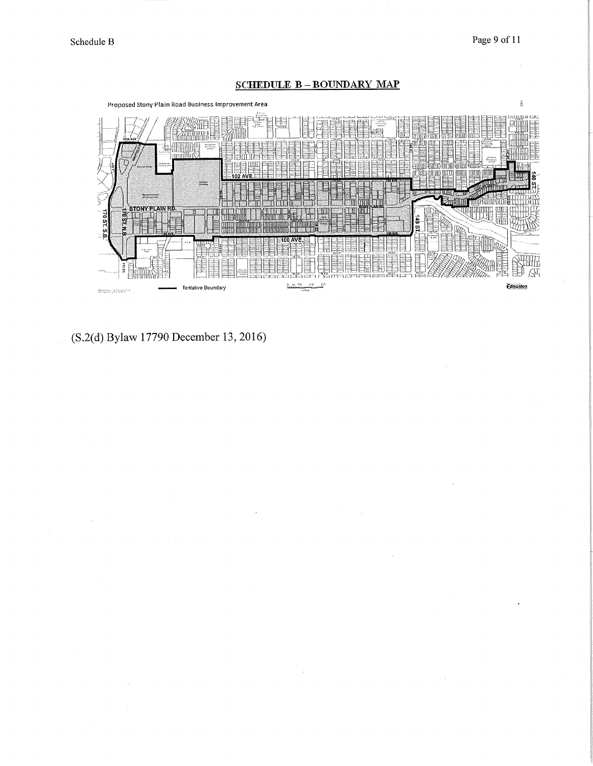Page 9 of 11

# **SCHEDULE B-BOUNDARY MAP**



(S.2(d) Bylaw 17790 December 13, 2016)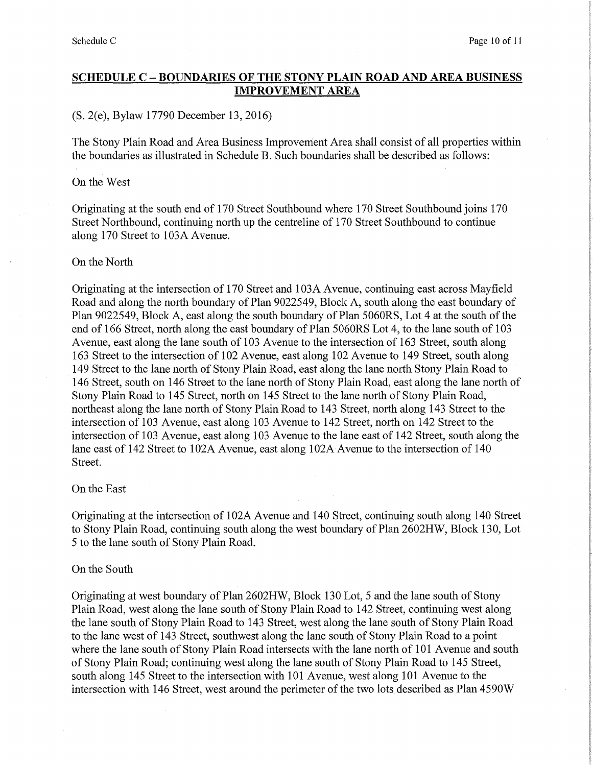# SCHEDULE C — BOUNDARIES OF THE STONY PLAIN ROAD AND AREA BUSINESS IMPROVEMENT AREA

## (S. 2(e), Bylaw 17790 December 13, 2016)

The Stony Plain Road and Area Business Improvement Area shall consist of all properties within the boundaries as illustrated in Schedule B. Such boundaries shall be described as follows:

## On the West

Originating at the south end of 170 Street Southbound where 170 Street Southbound joins 170 Street Northbound, continuing north up the centreline of 170 Street Southbound to continue along 170 Street to 103A Avenue.

# On the North

Originating at the intersection of 170 Street and 103A Avenue, continuing east across Mayfield Road and along the north boundary of Plan 9022549, Block A, south along the east boundary of Plan 9022549, Block A, east along the south boundary of Plan 5060RS, Lot 4 at the south of the end of 166 Street, north along the east boundary of Plan 5060RS Lot 4, to the lane south of 103 Avenue, east along the lane south of 103 Avenue to the intersection of 163 Street, south along 163 Street to the intersection of 102 Avenue, east along 102 Avenue to 149 Street, south along 149 Street to the lane north of Stony Plain Road, east along the lane north Stony Plain Road to 146 Street, south on 146 Street to the lane north of Stony Plain Road, east along the lane north of Stony Plain Road to 145 Street, north on 145 Street to the lane north of Stony Plain Road, northeast along the lane north of Stony Plain Road to 143 Street, north along 143 Street to the intersection of 103 Avenue, east along 103 Avenue to 142 Street, north on 142 Street to the intersection of 103 Avenue, east along 103 Avenue to the lane east of 142 Street, south along the lane east of 142 Street to 102A Avenue, east along 102A Avenue to the intersection of 140 Street.

## On the East

Originating at the intersection of 102A Avenue and 140 Street, continuing south along 140 Street to Stony Plain Road, continuing south along the west boundary of Plan 2602HW, Block 130, Lot 5 to the lane south of Stony Plain Road.

## On the South

Originating at west boundary of Plan 2602HW, Block 130 Lot, 5 and the lane south of Stony Plain Road, west along the lane south of Stony Plain Road to 142 Street, continuing west along the lane south of Stony Plain Road to 143 Street, west along the lane south of Stony Plain Road to the lane west of 143 Street, southwest along the lane south of Stony Plain Road to a point where the lane south of Stony Plain Road intersects with the lane north of 101 Avenue and south of Stony Plain Road; continuing west along the lane south of Stony Plain Road to 145 Street, south along 145 Street to the intersection with 101 Avenue, west along 101 Avenue to the intersection with 146 Street, west around the perimeter of the two lots described as Plan 4590W